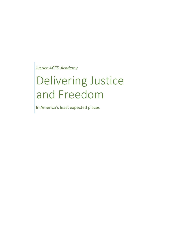*Justice ACED Academy*

# Delivering Justice and Freedom

In America's least expected places